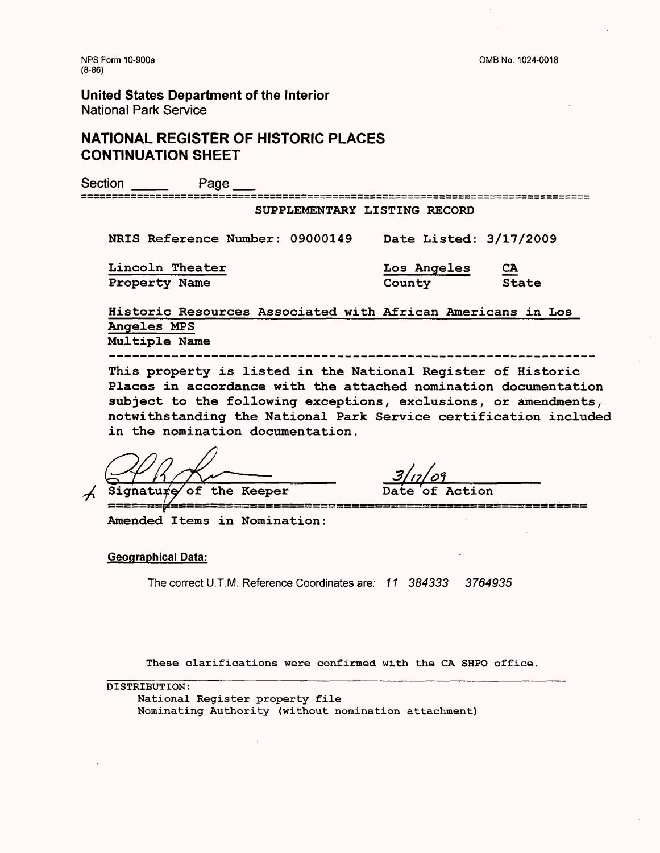# **NATIONAL REGISTER OF HISTORIC PLACES CONTINUATION SHEET**

Section \_\_\_ Page \_\_ SUPPLEMENTARY LISTING RECORD NRIS Reference Number: 09000149 Date Listed: 3/17/2009 Lincoln Theater **Los Angeles** Property Name County Historic Resources Associated with African Americans in Los

Angeles MPS Multiple Name

This property is listed in the National Register of Historic Places in accordance with the attached nomination documentation subject to the following exceptions, exclusions, or amendments, notwithstanding the National Park Service certification included in the nomination documentation.

Signature of the Keeper

۔<br>۔ سندس پرور پرور کو علت بھاری ہوں اور ایس پرور چرب سندس پرور اس کی بھی ایس بھی بھی ہوں ہیں جب بھی ہے۔ ایک مان ک

Amended Items in Nomination:

#### **Geographical Data:**

The correct U.T.M. Reference Coordinates are: 11 384333 3764935

These clarifications were confirmed with the CA SHPO office,

DISTRIBUTION:

National **Register property** file Nominating Authority (without nomination attachment)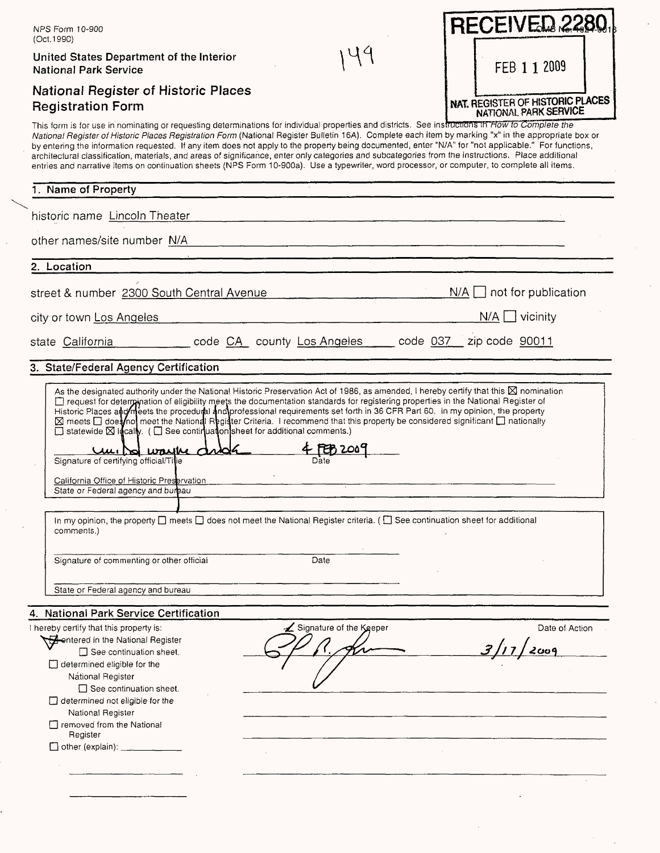| NPS Form 10-900<br>(Oct. 1990)                                                                                                                                                                                                                                                                                                                                                                                                                                                                                                                                                                                                                                                                                                                                                                                                                                                                                                                                                                                                                                                               | <b>RECEIVED 228</b>                                              |
|----------------------------------------------------------------------------------------------------------------------------------------------------------------------------------------------------------------------------------------------------------------------------------------------------------------------------------------------------------------------------------------------------------------------------------------------------------------------------------------------------------------------------------------------------------------------------------------------------------------------------------------------------------------------------------------------------------------------------------------------------------------------------------------------------------------------------------------------------------------------------------------------------------------------------------------------------------------------------------------------------------------------------------------------------------------------------------------------|------------------------------------------------------------------|
| United States Department of the Interior<br><b>National Park Service</b>                                                                                                                                                                                                                                                                                                                                                                                                                                                                                                                                                                                                                                                                                                                                                                                                                                                                                                                                                                                                                     | FEB 1 1 2009                                                     |
| National Register of Historic Places<br><b>Registration Form</b>                                                                                                                                                                                                                                                                                                                                                                                                                                                                                                                                                                                                                                                                                                                                                                                                                                                                                                                                                                                                                             | NAT. REGISTER OF HISTORIC PLACES<br><b>NATIONAL PARK SERVICE</b> |
| This form is for use in nominating or requesting determinations for individual properties and districts. See instructions in How to Complete the<br>National Register of Historic Places Registration Form (National Register Bulletin 16A). Complete each item by marking "x" in the appropriate box or<br>by entering the information requested. If any item does not apply to the property being documented, enter "N/A" for "not applicable." For functions,<br>architectural classification, materials, and areas of significance, enter only categories and subcategories from the instructions. Place additional<br>entries and narrative items on continuation sheets (NPS Form 10-900a). Use a typewriter, word processor, or computer, to complete all items.                                                                                                                                                                                                                                                                                                                      |                                                                  |
| 1. Name of Property                                                                                                                                                                                                                                                                                                                                                                                                                                                                                                                                                                                                                                                                                                                                                                                                                                                                                                                                                                                                                                                                          |                                                                  |
| historic name Lincoln Theater                                                                                                                                                                                                                                                                                                                                                                                                                                                                                                                                                                                                                                                                                                                                                                                                                                                                                                                                                                                                                                                                |                                                                  |
| other names/site number N/A                                                                                                                                                                                                                                                                                                                                                                                                                                                                                                                                                                                                                                                                                                                                                                                                                                                                                                                                                                                                                                                                  |                                                                  |
| 2. Location                                                                                                                                                                                                                                                                                                                                                                                                                                                                                                                                                                                                                                                                                                                                                                                                                                                                                                                                                                                                                                                                                  |                                                                  |
| street & number 2300 South Central Avenue                                                                                                                                                                                                                                                                                                                                                                                                                                                                                                                                                                                                                                                                                                                                                                                                                                                                                                                                                                                                                                                    | not for publication<br>$N/A$ $\vert$ $\vert$                     |
| city or town Los Angeles                                                                                                                                                                                                                                                                                                                                                                                                                                                                                                                                                                                                                                                                                                                                                                                                                                                                                                                                                                                                                                                                     | N/A<br>$\Box$ vicinity                                           |
| code CA county Los Angeles _____ code 037<br>state California                                                                                                                                                                                                                                                                                                                                                                                                                                                                                                                                                                                                                                                                                                                                                                                                                                                                                                                                                                                                                                | zip code 90011                                                   |
| 3. State/Federal Agency Certification                                                                                                                                                                                                                                                                                                                                                                                                                                                                                                                                                                                                                                                                                                                                                                                                                                                                                                                                                                                                                                                        |                                                                  |
| As the designated authority under the National Historic Preservation Act of 1986, as amended, I hereby certify that this $\boxtimes$ nomination<br>Trequest for determination of eligibility meets the documentation standards for registering properties in the National Register of<br>Historic Places and meets the procedural and professional requirements set forth in 36 CFR Part 60. In my opinion, the property<br>⊠ meets □ doesnot meet the National Register Criteria. I recommend that this property be considered significant □ nationally<br>$\Box$ statewide $\boxtimes$ idcally. ( $\Box$ See continuation sheet for additional comments.)<br><u>4 FEB 2000</u><br>Umissi wayke avar<br>Signature of certifying official/Title<br>California Office of Historic Preservation<br>State or Federal agency and bureau<br>In my opinion, the property $\Box$ meets $\Box$ does not meet the National Register criteria. ( $\Box$ See continuation sheet for additional<br>comments.)<br>Signature of commenting or other official<br>Date<br>State or Federal agency and bureau |                                                                  |
| 4. National Park Service Certification                                                                                                                                                                                                                                                                                                                                                                                                                                                                                                                                                                                                                                                                                                                                                                                                                                                                                                                                                                                                                                                       |                                                                  |
| Signature of the Keeper<br>I hereby certify that this property is:<br><b>Gentered in the National Register</b><br>See continuation sheet.<br>$\Box$ determined eligible for the<br>Nátional Register<br>$\Box$ See continuation sheet.<br>$\Box$ determined not eligible for the<br>National Register<br>T removed from the National<br>Register                                                                                                                                                                                                                                                                                                                                                                                                                                                                                                                                                                                                                                                                                                                                             | Date of Action                                                   |
|                                                                                                                                                                                                                                                                                                                                                                                                                                                                                                                                                                                                                                                                                                                                                                                                                                                                                                                                                                                                                                                                                              |                                                                  |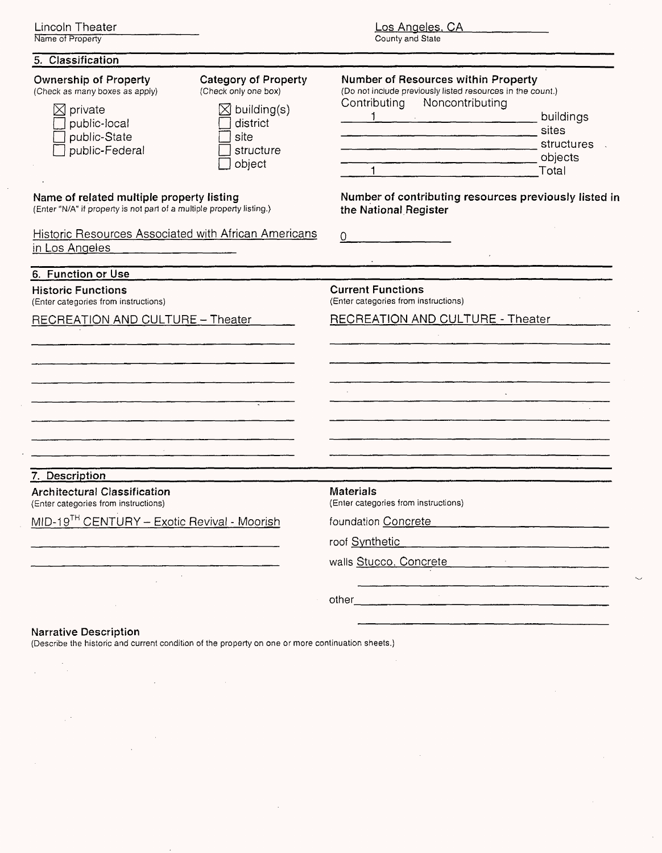| Lincoln Theater  |  |  |
|------------------|--|--|
| Name of Property |  |  |

 $\cdot$ 

 $\ddot{\phantom{a}}$ 

# Los Angeles. CA

 $\sim$ 

 $\ddot{\phantom{a}}$ 

County and State

| 5. Classification                                                                                                                       |                                                                                                                           |                                                                                                                                   |                                                      |
|-----------------------------------------------------------------------------------------------------------------------------------------|---------------------------------------------------------------------------------------------------------------------------|-----------------------------------------------------------------------------------------------------------------------------------|------------------------------------------------------|
| <b>Ownership of Property</b><br>(Check as many boxes as apply)<br>$\boxtimes$ private<br>public-local<br>public-State<br>public-Federal | <b>Category of Property</b><br>(Check only one box)<br>$\boxtimes$ building(s)<br>district<br>site<br>structure<br>object | Number of Resources within Property<br>(Do not include previously listed resources in the count.)<br>Contributing Noncontributing | buildings<br>sites<br>structures<br>objects<br>Total |
| Name of related multiple property listing<br>(Enter "N/A" if property is not part of a multiple property listing.)                      |                                                                                                                           | Number of contributing resources previously listed in<br>the National Register                                                    |                                                      |
| Historic Resources Associated with African Americans<br>in Los Angeles                                                                  |                                                                                                                           | 0                                                                                                                                 |                                                      |
| 6. Function or Use                                                                                                                      |                                                                                                                           |                                                                                                                                   |                                                      |
| <b>Historic Functions</b><br>(Enter categories from instructions)                                                                       |                                                                                                                           | <b>Current Functions</b><br>(Enter categories from instructions)                                                                  |                                                      |
| RECREATION AND CULTURE - Theater                                                                                                        |                                                                                                                           | <b>RECREATION AND CULTURE - Theater</b>                                                                                           |                                                      |
| 7. Description                                                                                                                          |                                                                                                                           |                                                                                                                                   |                                                      |
| <b>Architectural Classification</b><br>(Enter categories from instructions)                                                             |                                                                                                                           | <b>Materials</b><br>(Enter categories from instructions)                                                                          |                                                      |
| MID-19 <sup>TH</sup> CENTURY - Exotic Revival - Moorish                                                                                 |                                                                                                                           | foundation Concrete                                                                                                               |                                                      |
|                                                                                                                                         |                                                                                                                           | roof Synthetic<br>walls Stucco, Concrete                                                                                          |                                                      |
|                                                                                                                                         |                                                                                                                           |                                                                                                                                   |                                                      |
|                                                                                                                                         |                                                                                                                           | other                                                                                                                             |                                                      |
| <b>Narrative Description</b>                                                                                                            |                                                                                                                           |                                                                                                                                   |                                                      |

(Describe the historic and current condition of the property on one or more continuation sheets.)

 $\bar{z}$ 

 $\mathbf{r}$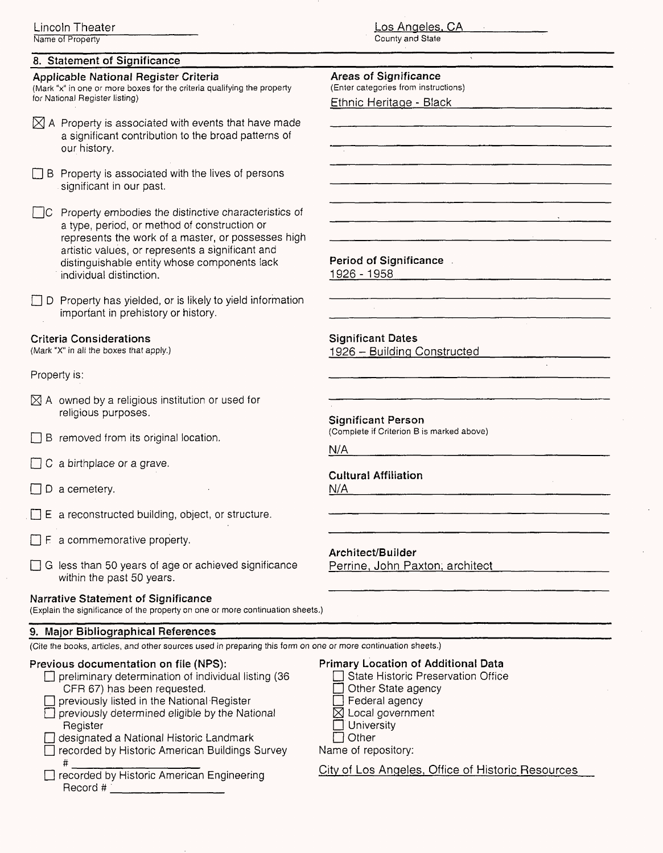## **8. Statement of Significance**

**Applicable National Register Criteria** (Mark "x" in one or more boxes for the criteria qualifying the property for National Register listing)

 $[\times]$  A Property is associated with events that have made a significant contribution to the broad patterns of our history.

- $\Box$  B Property is associated with the lives of persons significant in our past.
- $\Box$ C Property embodies the distinctive characteristics of a type, period, or method of construction or represents the work of a master, or possesses high artistic values, or represents a significant and distinguishable entity whose components lack individual distinction.
- $\Box$  D Property has yielded, or is likely to yield information important in prehistory or history.

#### **Criteria Considerations**

(Mark "X" in all the boxes that apply.)

### Property is:

- $\boxtimes$  A owned by a religious institution or used for religious purposes.
- $\Box$  B removed from its original location.
- $\Box$  C a birthplace or a grave.
- $\Box$  D a cemetery.
- $\Box$  E a reconstructed building, object, or structure.
- $\Box$  F a commemorative property.
- $\Box$  G less than 50 years of age or achieved significance within the past 50 years.

#### **Narrative Statement of Significance**

(Explain the significance of the property on one or more continuation sheets.)

### **9. Major Bibliographical References**

(Cite the books, articles, and other sources used in preparing this form on one or more continuation sheets.)

### **Previous documentation on file (NPS):**

- $\Box$  preliminary determination of individual listing (36 CFR 67) has been requested.
- $\Box$  previously listed in the National Register  $\Box$  previously determined eligible by the National
- Register
- designated a National Historic Landmark  $\Box$  recorded by Historic American Buildings Survey
- #  $-$ D recorded by Historic American Engineering Record # 1999 and 2009 and 2009 and 2009 and 2009 and 2009 and 2009 and 2009 and 2009 and 2009 and 2009 and 2009 and 2009 and 2009 and 2009 and 2009 and 2009 and 2009 and 2009 and 2009 and 2009 and 2009 and 2009 and 2009 a

### **Areas of Significance**

(Enter categories from instructions)

Ethnic Heritage - Black

**Period of Significance**

1926 - 1958

**Significant Dates** 1926 - Building Constructed

**Significant Person**

(Complete if Criterion B is marked above)

**N/A**

## **Cultural Affiliation**

N/A **\_\_\_\_**

**Architect/Builder** Perrine, John Paxton, architect

 $\bar{\Box}$  Federal agency  $\boxtimes$  Local government

Other State agency

**Primary Location of Additional Data**  $\Box$  State Historic Preservation Office

- $\Box$  University
- $\Box$  Other

Name of repository:

City of Los Angeles, Office of Historic Resources

Los Angeles. CA County and State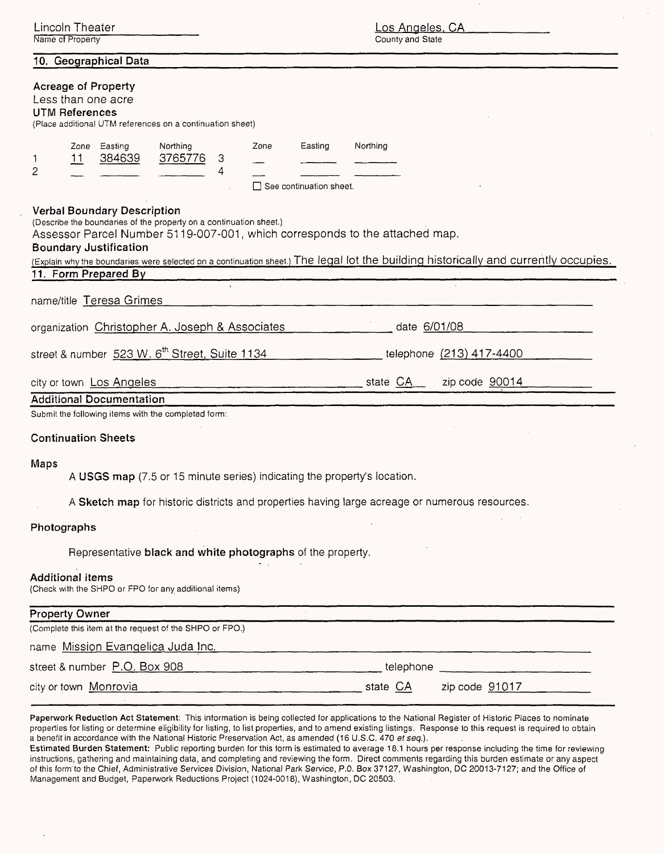| Lincoln Theater<br>Name of Property                                                                                                                                                                                                                                                                                                                                                     | <u>Los Angeles, CA</u><br>County and State             |  |  |  |
|-----------------------------------------------------------------------------------------------------------------------------------------------------------------------------------------------------------------------------------------------------------------------------------------------------------------------------------------------------------------------------------------|--------------------------------------------------------|--|--|--|
| 10. Geographical Data                                                                                                                                                                                                                                                                                                                                                                   |                                                        |  |  |  |
| <b>Acreage of Property</b><br>Less than one acre<br><b>UTM References</b><br>(Place additional UTM references on a continuation sheet)                                                                                                                                                                                                                                                  |                                                        |  |  |  |
| Zone Easting<br>Northing<br>384639<br>3765776<br>3<br><u> 11</u><br>٦<br>2<br>4                                                                                                                                                                                                                                                                                                         | Northing<br>Easting<br>Zone<br>See continuation sheet. |  |  |  |
| <b>Verbal Boundary Description</b><br>(Describe the boundaries of the property on a continuation sheet.)<br>Assessor Parcel Number 5119-007-001, which corresponds to the attached map.<br><b>Boundary Justification</b><br>(Explain why the boundaries were selected on a continuation sheet.) The legal lot the building historically and currently occupies.<br>11. Form Prepared By |                                                        |  |  |  |
| $\sqrt{2}$<br>name/title Teresa Grimes                                                                                                                                                                                                                                                                                                                                                  |                                                        |  |  |  |
| date 6/01/08<br>organization Christopher A. Joseph & Associates                                                                                                                                                                                                                                                                                                                         |                                                        |  |  |  |
| street & number 523 W. 6 <sup>th</sup> Street, Suite 1134                                                                                                                                                                                                                                                                                                                               | telephone (213) 417-4400                               |  |  |  |
| city or town Los Angeles                                                                                                                                                                                                                                                                                                                                                                | __ state CA<br>zip code 90014                          |  |  |  |
| <b>Additional Documentation</b><br>Submit the following items with the completed form:                                                                                                                                                                                                                                                                                                  |                                                        |  |  |  |
| <b>Continuation Sheets</b>                                                                                                                                                                                                                                                                                                                                                              |                                                        |  |  |  |
| Maps<br>A USGS map (7.5 or 15 minute series) indicating the property's location.                                                                                                                                                                                                                                                                                                        |                                                        |  |  |  |
| A Sketch map for historic districts and properties having large acreage or numerous resources.                                                                                                                                                                                                                                                                                          |                                                        |  |  |  |
| Photographs                                                                                                                                                                                                                                                                                                                                                                             |                                                        |  |  |  |
| Representative black and white photographs of the property.                                                                                                                                                                                                                                                                                                                             |                                                        |  |  |  |
| <b>Additional items</b><br>(Check with the SHPO or FPO for any additional items)                                                                                                                                                                                                                                                                                                        |                                                        |  |  |  |
| <b>Property Owner</b>                                                                                                                                                                                                                                                                                                                                                                   |                                                        |  |  |  |
| (Complete this item at the request of the SHPO or FPO.)                                                                                                                                                                                                                                                                                                                                 |                                                        |  |  |  |
| name Mission Evangelica Juda Inc.                                                                                                                                                                                                                                                                                                                                                       | <u> 1960 - Jan Samuel Barbara, margaret e</u>          |  |  |  |
| street & number P.O. Box 908                                                                                                                                                                                                                                                                                                                                                            | telephone                                              |  |  |  |
| city or town Monrovia example and the contract of the CA                                                                                                                                                                                                                                                                                                                                | zip code $91017$ $\qquad \qquad \qquad$                |  |  |  |
|                                                                                                                                                                                                                                                                                                                                                                                         |                                                        |  |  |  |

Paperwork Reduction Act Statement: This information is being collected for applications to the National Register of Historic Places to nominate properties for listing or determine eligibility for listing, to list properties, and to amend existing listings. Response to this request is required to obtain a benefit in accordance with the National Historic Preservation Act, as amended (16 U.S.C. 470 *et seq.*).

Estimated Burden Statement: Public reporting burden for this form is estimated to average 18.1 hours per response including the time for reviewing instructions, gathering and maintaining data, and completing and reviewing the form. Direct comments regarding this burden estimate or any aspect of this form'to the Chief, Administrative Services Division, National Park Service, P.O. Box 37127, Washington, DC 20013-7127; and the Office of Management and Budget, Paperwork Reductions Project (1024-0018), Washington, DC 20503.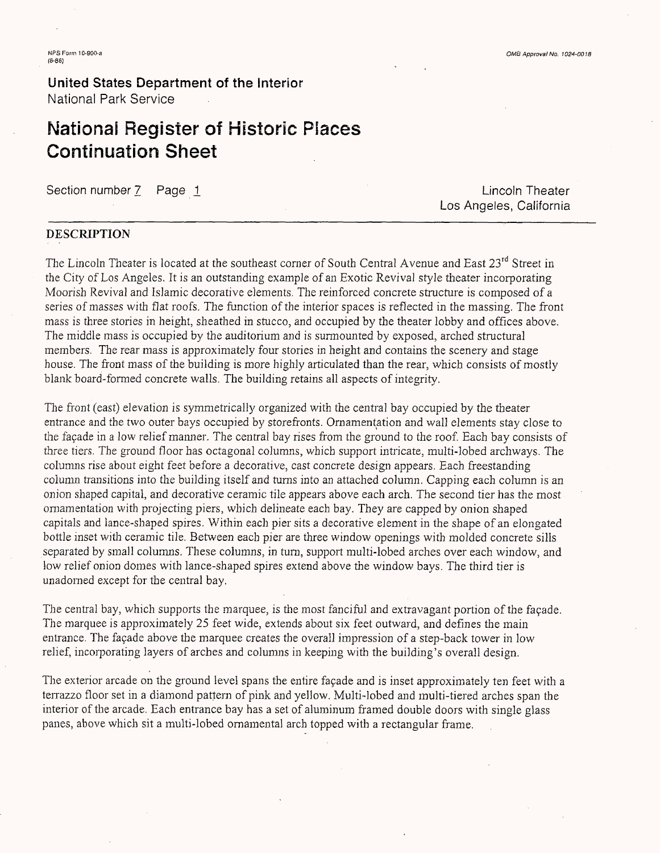# **National Register of Historic Places Continuation Sheet**

Section number 7 Page 1 Lincoln Theater

Los Angeles, California

## **DESCRIPTION**

The Lincoln Theater is located at the southeast corner of South Central Avenue and East 23<sup>rd</sup> Street in the City of Los Angeles. It is an outstanding example of an Exotic Revival style theater incorporating Moorish Revival and Islamic decorative elements. The reinforced concrete structure is composed of a series of masses with flat roofs. The function of the interior spaces is reflected in the massing. The front mass is three stories in height, sheathed in stucco, and occupied by the theater lobby and offices above. The middle mass is occupied by the auditorium and is surmounted by exposed, arched structural members. The rear mass is approximately four stories in height and contains the scenery and stage house. The front mass of the building is more highly articulated than the rear, which consists of mostly blank board-formed concrete walls. The building retains all aspects of integrity.

The front (east) elevation is symmetrically organized with the central bay occupied by the theater entrance and the two outer bays occupied by storefronts. Ornamentation and wall elements stay close to the facade in a low relief manner. The central bay rises from the ground to the roof. Each bay consists of three tiers. The ground floor has octagonal columns, which support intricate, multi-lobed archways. The columns rise about eight feet before a decorative, cast concrete design appears. Each freestanding column transitions into the building itself and turns into an attached column. Capping each column is an onion shaped capital, and decorative ceramic tile appears above each arch. The second tier has the most ornamentation with projecting piers, which delineate each bay. They are capped by onion shaped capitals and lance-shaped spires. Within each pier sits a decorative element in the shape of an elongated bottle inset with ceramic tile. Between each pier are three window openings with molded concrete sills separated by small columns. These columns, in rum, support multi-lobed arches over each window, and low relief onion domes with lance-shaped spires extend above the window bays. The third tier is unadorned except for the central bay.

The central bay, which supports the marquee, is the most fanciful and extravagant portion of the facade. The marquee is approximately 25 feet wide, extends about six feet outward, and defines the main entrance. The facade above the marquee creates the overall impression of a step-back tower in low relief, incorporating layers of arches and columns in keeping with the building's overall design.

The exterior arcade on the ground level spans the entire façade and is inset approximately ten feet with a terrazzo floor set in a diamond pattern of pink and yellow. Multi-lobed and multi-tiered arches span the interior of the arcade. Each entrance bay has a set of aluminum framed double doors with single glass panes, above which sit a multi-lobed ornamental arch topped with a rectangular frame.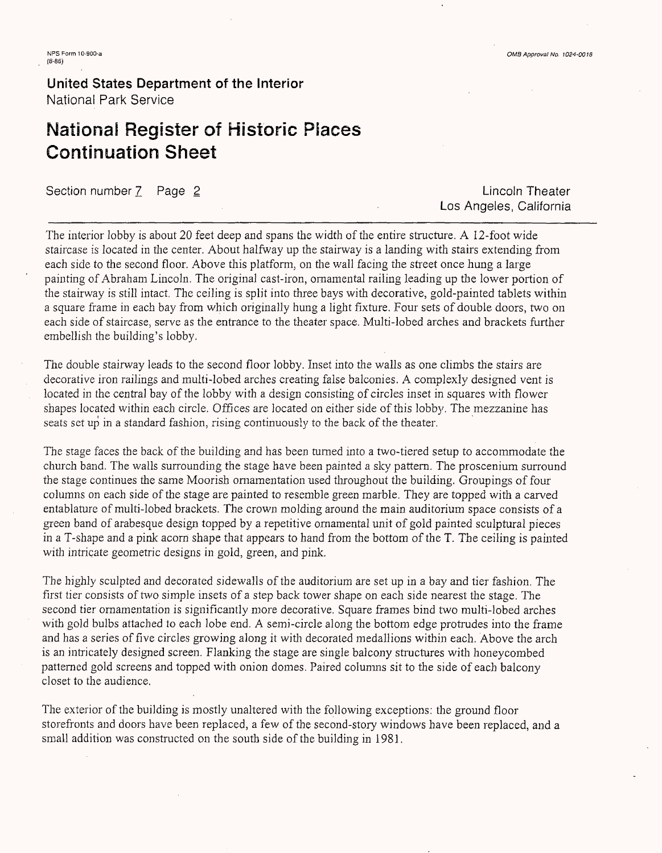# **National Register of Historic Piaces Continuation Sheet**

Section number 7 Page 2 Lincoln Theater

Los Angeles, California

The interior lobby is about 20 feet deep and spans the width of the entire structure. A 12-foot wide staircase is located in the center. About halfway up the stairway is a landing with stairs extending from each side to the second floor. Above this platform, on the wall facing the street once hung a large painting of Abraham Lincoln. The original cast-iron, ornamental railing leading up the lower portion of the stairway is still intact. The ceiling is. split into three bays with decorative, gold-painted tablets within a square frame in each bay from which originally hung a light fixture. Four sets of double doors, two on each side of staircase, serve as the entrance to the theater space. Multi-lobed arches and brackets further embellish the building's lobby.

The double stairway leads to the second floor lobby. Inset into the walls as one climbs the stairs are decorative iron railings and multi-lobed arches creating false balconies. A complexly designed vent is located in the central bay of the lobby with a design consisting of circles inset in squares with flower shapes located within each circle. Offices are located on either side of this lobby. The mezzanine has seats set up in a standard fashion, rising continuously to the back of the theater.

The stage faces the back of the building and has been turned into a two-tiered setup to accommodate the church band. The walls surrounding the stage have been painted a sky pattern. The proscenium surround the stage continues the same Moorish ornamentation used throughout the building. Groupings of four columns on each side of the stage are painted to resemble green marble. They are topped with a carved entablature of multi-lobed brackets. The crown molding around the main auditorium space consists of a green band of arabesque design topped by a repetitive ornamental unit of gold painted sculptural pieces in a T-shape and a pink acorn shape that appears to hand from the bottom of the T. The ceiling is painted with intricate geometric designs in gold, green, and pink.

The highly sculpted and decorated sidewalls of the auditorium are set up in a bay and tier fashion. The first tier consists of two simple insets of a step back tower shape on each side nearest the stage. The second tier ornamentation is significantly more decorative. Square frames bind two multi-lobed arches with gold bulbs attached to each lobe end. A semi-circle along the bottom edge protrudes into the frame and has a series of five circles growing along it with decorated medallions within each. Above the arch is an intricately designed screen. Flanking the stage are single balcony structures with honeycombed patterned gold screens and topped with onion domes. Paired columns sit to the side of each balcony closet to the audience.

The exterior of the building is mostly unaltered with the following exceptions: the ground floor storefronts and doors have been replaced, a few of the second-story windows have been replaced, and a small addition was constructed on the south side of the building in 1981.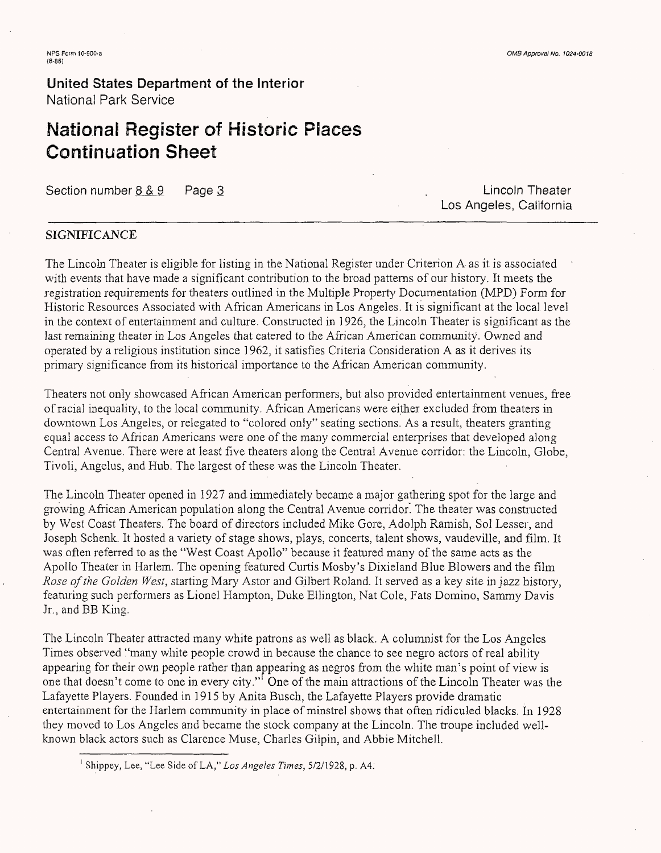# **National Register of Historic Places Continuation Sheet**

Section number 8 & 9 . Page 3 . Lincoln Theater

Los Angeles, California

## **SIGNIFICANCE**

The Lincoln Theater is eligible for listing in the National Register under Criterion A- as it is associated with events that have made a significant contribution to the broad patteras of our history. It meets the registration requirements for theaters outlined in the Multiple Property Documentation (MPD) Form for Historic Resources Associated with African Americans in Los Angeles. It is significant at the local level in the context of entertainment and culture. Constructed in 1926, the Lincoln Theater is significant as the last remaining theater in Los Angeles that catered to the African American community. Owned and operated by a religious institution since 1962, it satisfies Criteria Consideration A as it derives its primary significance from its historical importance to the African American community.

Theaters not only showcased African American performers, but also provided entertainment venues, free of racial inequality, to the local community. African Americans were either excluded from theaters in downtown Los Angeles, or relegated to "colored only" seating sections. As a result, theaters granting equal access to African Americans were one of the many commercial enterprises that developed along Central Avenue. There were at least five theaters along the Central Avenue corridor: the Lincoln, Globe, Tivoli, Angelus, and Hub. The largest of these was the Lincoln Theater,

The Lincoln Theater opened in 1927 and immediately became a major gathering spot for the large and growing African American population along the Central Avenue corridor. The theater was constructed by West Coast Theaters. The board of directors included Mike Gore, Adolph Ramish, Sol Lesser, and Joseph Schenk. It hosted a variety of stage shows, plays, concerts, talent shows, vaudeville, and film. It was often referred to as the "West Coast Apollo" because it featured many of the same acts as the Apollo Theater in Harlem. The opening featured Curtis Mosby's Dixieland Blue Blowers and the film *Rose of the Golden West,* starting Mary Astor and Gilbert Roland. It served as a key site *in jazz* history, featuring such performers as Lionel Hampton, Duke Ellington, Nat Cole, Fats Domino, Sammy Davis Jr., and BB King.

The Lincoln Theater attracted many white patrons as well as black. A columnist for the Los Angeles Times observed "many white people crowd in because the chance to see negro actors of real ability appearing for their own people rather than appearing as negros from the white man's point of view is one that doesn't come to one in every city." One of the main attractions of the Lincoln Theater was the Lafayette Players. Founded in 1915 by Anita Busch, the Lafayette Players provide dramatic entertainment for the Harlem community in place of minstrel shows that often ridiculed blacks. In 1928 they moved to Los Angeles and became the stock company at the Lincoln. The troupe included wellknown black actors such as Clarence Muse, Charles Gilpin, and Abbie Mitchell.

<sup>1</sup> Shippey, Lee, "Lee Side of LA," *Los Angeles Times,* 5/2/1928, p. A4;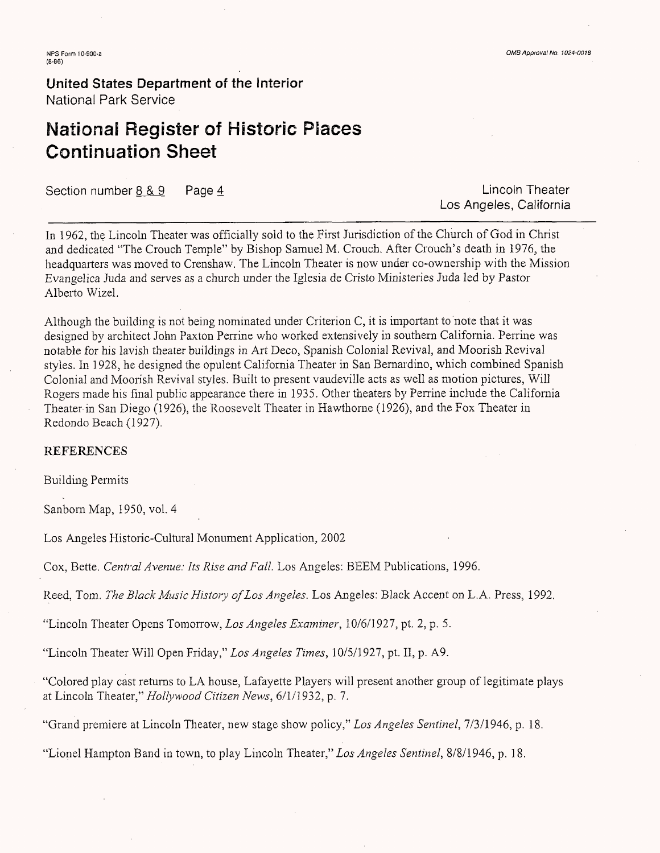# **National Register of Historic Places Continuation Sheet**

Section number 8 & 9 Page 4 Lincoln Theater

Los Angeles, California

In 1962, the Lincoln Theater was officially sold to the First Jurisdiction of the Church of God in Christ and dedicated "The Crouch Temple" by Bishop Samuel M. Crouch. After Crouch's death in 1976, the headquarters was moved to Crenshaw. The Lincoln Theater is now under co-ownership with the Mission Evangelica Juda and serves as a church under the Iglesia de Cristo Ministeries Juda led by Pastor Alberto Wizel.

Although the building is not being nominated under Criterion C, it is important to note that it was designed by architect John Paxton Perrine who worked extensively in southern California. Perrine was notable for his lavish theater buildings in Art Deco, Spanish Colonial Revival, and Moorish Revival styles. In 1928, he designed the opulent California Theater in San Bernardino, which combined Spanish Colonial and Moorish Revival styles. Built to present vaudeville acts as well as motion pictures, Will Rogers made his final public appearance there in 1935. Other theaters by Perrine include the California Theater in San Diego (1926), the Roosevelt Theater in Hawthorne (1926), and the Fox Theater in Redondo Beach (1927).

### **REFERENCES**

Building Permits

Sanborn Map, 1950, vol. 4

Los Angeles Historic-Cultural Monument Application, 2002

Cox, Bette. *Central Avenue: Its Rise and Fall.* Los Angeles: BEEM Publications, 1996.

Reed, Tom. *The Black Music History of Los Angeles.* Los Angeles: Black Accent on L.A. Press, 1992.

"Lincoln Theater Opens Tomorrow, *Los Angeles Examiner,* 10/6/1927, pt. 2, p. 5.

"Lincoln Theater Will Open Friday," *Los Angeles Times,* 10/5/1927, pt. II, p. A9.

"Colored play cast returns to LA house, Lafayette Players will present another group of legitimate plays at Lincoln Theater," *Hollywood Citizen News,* 6/1/1932, p. 7.

"Grand premiere at Lincoln Theater, new stage show policy," *Los Angeles Sentinel.,* 7/3/1946, p. 18.

"Lionel Hampton Band in town, to play Lincoln Theater," *Los Angeles Sentinel,* 8/8/1946, p. 18.